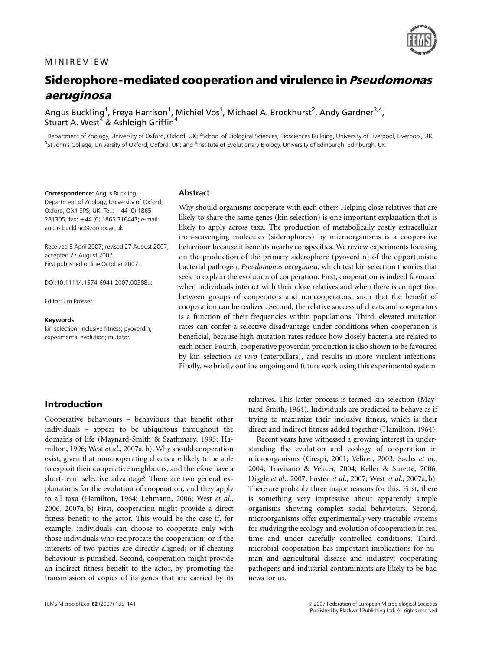## MINIREVIEW



# Siderophore-mediated cooperation and virulence in Pseudomonas aeruginosa

Angus Buckling<sup>1</sup>, Freya Harrison<sup>1</sup>, Michiel Vos<sup>1</sup>, Michael A. Brockhurst<sup>2</sup>, Andy Gardner<sup>3,4</sup>, Stuart A. West $^4$  & Ashleigh Griffin<sup>4</sup>

<sup>1</sup>Department of Zoology, University of Oxford, Oxford, UK; <sup>2</sup>School of Biological Sciences, Biosciences Building, University of Liverpool, Liverpool, UK; <sup>3</sup>St John's College, University of Oxford, Oxford, UK; and <sup>4</sup>Institute of Evolutionary Biology, University of Edinburgh, Edinburgh, UK

Correspondence: Angus Buckling,

Department of Zoology, University of Oxford, Oxford, OX1 3PS, UK. Tel.: +44 (0) 1865 281305; fax: +44 (0) 1865 310447; e-mail: angus.buckling@zoo.ox.ac.uk

Received 5 April 2007; revised 27 August 2007; accepted 27 August 2007. First published online October 2007.

DOI:10.1111/j.1574-6941.2007.00388.x

Editor: Jim Prosser

#### Keywords

kin selection; inclusive fitness; pyoverdin; experimental evolution; mutator.

#### Abstract

Why should organisms cooperate with each other? Helping close relatives that are likely to share the same genes (kin selection) is one important explanation that is likely to apply across taxa. The production of metabolically costly extracellular iron-scavenging molecules (siderophores) by microorganisms is a cooperative behaviour because it benefits nearby conspecifics. We review experiments focusing on the production of the primary siderophore (pyoverdin) of the opportunistic bacterial pathogen, Pseudomonas aeruginosa, which test kin selection theories that seek to explain the evolution of cooperation. First, cooperation is indeed favoured when individuals interact with their close relatives and when there is competition between groups of cooperators and noncooperators, such that the benefit of cooperation can be realized. Second, the relative success of cheats and cooperators is a function of their frequencies within populations. Third, elevated mutation rates can confer a selective disadvantage under conditions when cooperation is beneficial, because high mutation rates reduce how closely bacteria are related to each other. Fourth, cooperative pyoverdin production is also shown to be favoured by kin selection in vivo (caterpillars), and results in more virulent infections. Finally, we briefly outline ongoing and future work using this experimental system.

# Introduction

Cooperative behaviours – behaviours that benefit other individuals – appear to be ubiquitous throughout the domains of life (Maynard-Smith & Szathmary, 1995; Hamilton, 1996; West et al., 2007a, b). Why should cooperation exist, given that noncooperating cheats are likely to be able to exploit their cooperative neighbours, and therefore have a short-term selective advantage? There are two general explanations for the evolution of cooperation, and they apply to all taxa (Hamilton, 1964; Lehmann, 2006; West et al., 2006, 2007a, b) First, cooperation might provide a direct fitness benefit to the actor. This would be the case if, for example, individuals can choose to cooperate only with those individuals who reciprocate the cooperation; or if the interests of two parties are directly aligned; or if cheating behaviour is punished. Second, cooperation might provide an indirect fitness benefit to the actor, by promoting the transmission of copies of its genes that are carried by its

relatives. This latter process is termed kin selection (Maynard-Smith, 1964). Individuals are predicted to behave as if trying to maximize their inclusive fitness, which is their direct and indirect fitness added together (Hamilton, 1964).

Recent years have witnessed a growing interest in understanding the evolution and ecology of cooperation in microorganisms (Crespi, 2001; Velicer, 2003; Sachs et al., 2004; Travisano & Velicer, 2004; Keller & Surette, 2006; Diggle et al., 2007; Foster et al., 2007; West et al., 2007a, b). There are probably three major reasons for this. First, there is something very impressive about apparently simple organisms showing complex social behaviours. Second, microorganisms offer experimentally very tractable systems for studying the ecology and evolution of cooperation in real time and under carefully controlled conditions. Third, microbial cooperation has important implications for human and agricultural disease and industry: cooperating pathogens and industrial contaminants are likely to be bad news for us.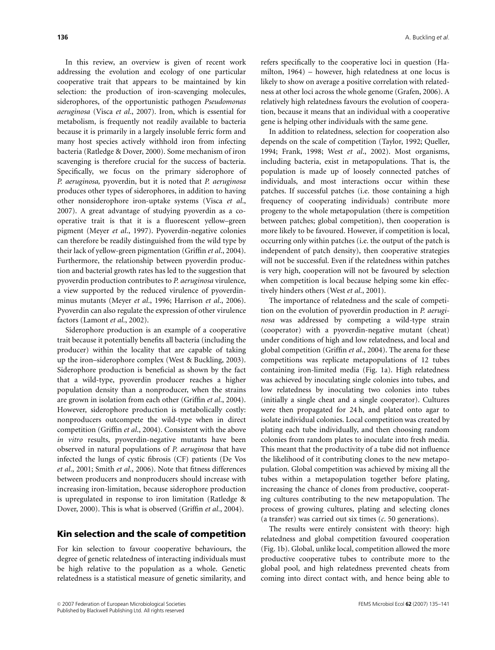In this review, an overview is given of recent work addressing the evolution and ecology of one particular cooperative trait that appears to be maintained by kin selection: the production of iron-scavenging molecules, siderophores, of the opportunistic pathogen *Pseudomonas* aeruginosa (Visca et al., 2007). Iron, which is essential for metabolism, is frequently not readily available to bacteria because it is primarily in a largely insoluble ferric form and many host species actively withhold iron from infecting bacteria (Ratledge & Dover, 2000). Some mechanism of iron scavenging is therefore crucial for the success of bacteria. Specifically, we focus on the primary siderophore of P. aeruginosa, pyoverdin, but it is noted that P. aeruginosa produces other types of siderophores, in addition to having other nonsiderophore iron-uptake systems (Visca et al., 2007). A great advantage of studying pyoverdin as a cooperative trait is that it is a fluorescent yellow–green pigment (Meyer et al., 1997). Pyoverdin-negative colonies can therefore be readily distinguished from the wild type by their lack of yellow-green pigmentation (Griffin et al., 2004). Furthermore, the relationship between pyoverdin production and bacterial growth rates has led to the suggestion that pyoverdin production contributes to P. aeruginosa virulence, a view supported by the reduced virulence of pyoverdinminus mutants (Meyer et al., 1996; Harrison et al., 2006). Pyoverdin can also regulate the expression of other virulence factors (Lamont et al., 2002).

Siderophore production is an example of a cooperative trait because it potentially benefits all bacteria (including the producer) within the locality that are capable of taking up the iron–siderophore complex (West & Buckling, 2003). Siderophore production is beneficial as shown by the fact that a wild-type, pyoverdin producer reaches a higher population density than a nonproducer, when the strains are grown in isolation from each other (Griffin et al., 2004). However, siderophore production is metabolically costly: nonproducers outcompete the wild-type when in direct competition (Griffin et al., 2004). Consistent with the above in vitro results, pyoverdin-negative mutants have been observed in natural populations of P. aeruginosa that have infected the lungs of cystic fibrosis (CF) patients (De Vos et al., 2001; Smith et al., 2006). Note that fitness differences between producers and nonproducers should increase with increasing iron-limitation, because siderophore production is upregulated in response to iron limitation (Ratledge & Dover, 2000). This is what is observed (Griffin et al., 2004).

For kin selection to favour cooperative behaviours, the degree of genetic relatedness of interacting individuals must be high relative to the population as a whole. Genetic relatedness is a statistical measure of genetic similarity, and

refers specifically to the cooperative loci in question (Hamilton, 1964) – however, high relatedness at one locus is likely to show on average a positive correlation with relatedness at other loci across the whole genome (Grafen, 2006). A relatively high relatedness favours the evolution of cooperation, because it means that an individual with a cooperative gene is helping other individuals with the same gene.

In addition to relatedness, selection for cooperation also depends on the scale of competition (Taylor, 1992; Queller, 1994; Frank, 1998; West et al., 2002). Most organisms, including bacteria, exist in metapopulations. That is, the population is made up of loosely connected patches of individuals, and most interactions occur within these patches. If successful patches (i.e. those containing a high frequency of cooperating individuals) contribute more progeny to the whole metapopulation (there is competition between patches; global competition), then cooperation is more likely to be favoured. However, if competition is local, occurring only within patches (i.e. the output of the patch is independent of patch density), then cooperative strategies will not be successful. Even if the relatedness within patches is very high, cooperation will not be favoured by selection when competition is local because helping some kin effectively hinders others (West et al., 2001).

The importance of relatedness and the scale of competition on the evolution of pyoverdin production in P. aeruginosa was addressed by competing a wild-type strain (cooperator) with a pyoverdin-negative mutant (cheat) under conditions of high and low relatedness, and local and global competition (Griffin et al., 2004). The arena for these competitions was replicate metapopulations of 12 tubes containing iron-limited media (Fig. 1a). High relatedness was achieved by inoculating single colonies into tubes, and low relatedness by inoculating two colonies into tubes (initially a single cheat and a single cooperator). Cultures were then propagated for 24 h, and plated onto agar to isolate individual colonies. Local competition was created by plating each tube individually, and then choosing random colonies from random plates to inoculate into fresh media. This meant that the productivity of a tube did not influence the likelihood of it contributing clones to the new metapopulation. Global competition was achieved by mixing all the tubes within a metapopulation together before plating, increasing the chance of clones from productive, cooperating cultures contributing to the new metapopulation. The process of growing cultures, plating and selecting clones (a transfer) was carried out six times  $(c. 50$  generations).

The results were entirely consistent with theory: high relatedness and global competition favoured cooperation (Fig. 1b). Global, unlike local, competition allowed the more productive cooperative tubes to contribute more to the global pool, and high relatedness prevented cheats from coming into direct contact with, and hence being able to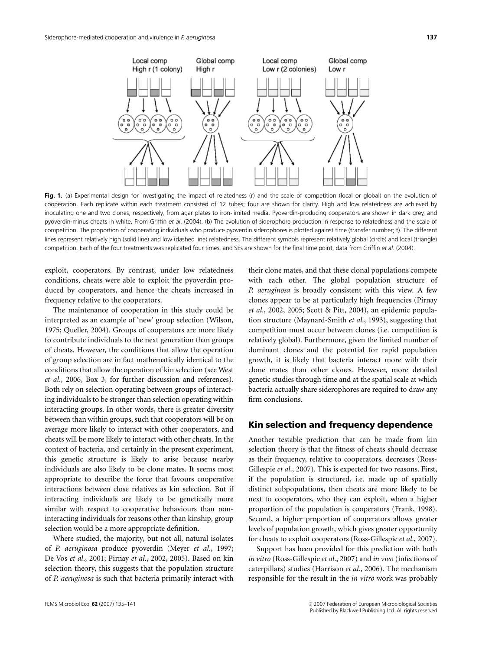

Fig. 1. (a) Experimental design for investigating the impact of relatedness (r) and the scale of competition (local or global) on the evolution of cooperation. Each replicate within each treatment consisted of 12 tubes; four are shown for clarity. High and low relatedness are achieved by inoculating one and two clones, respectively, from agar plates to iron-limited media. Pyoverdin-producing cooperators are shown in dark grey, and pyoverdin-minus cheats in white. From Griffin et al. (2004). (b) The evolution of siderophore production in response to relatedness and the scale of competition. The proportion of cooperating individuals who produce pyoverdin siderophores is plotted against time (transfer number; t). The different lines represent relatively high (solid line) and low (dashed line) relatedness. The different symbols represent relatively global (circle) and local (triangle) competition. Each of the four treatments was replicated four times, and SEs are shown for the final time point, data from Griffin et al. (2004).

exploit, cooperators. By contrast, under low relatedness conditions, cheats were able to exploit the pyoverdin produced by cooperators, and hence the cheats increased in frequency relative to the cooperators.

The maintenance of cooperation in this study could be interpreted as an example of 'new' group selection (Wilson, 1975; Queller, 2004). Groups of cooperators are more likely to contribute individuals to the next generation than groups of cheats. However, the conditions that allow the operation of group selection are in fact mathematically identical to the conditions that allow the operation of kin selection (see West et al., 2006, Box 3, for further discussion and references). Both rely on selection operating between groups of interacting individuals to be stronger than selection operating within interacting groups. In other words, there is greater diversity between than within groups, such that cooperators will be on average more likely to interact with other cooperators, and cheats will be more likely to interact with other cheats. In the context of bacteria, and certainly in the present experiment, this genetic structure is likely to arise because nearby individuals are also likely to be clone mates. It seems most appropriate to describe the force that favours cooperative interactions between close relatives as kin selection. But if interacting individuals are likely to be genetically more similar with respect to cooperative behaviours than noninteracting individuals for reasons other than kinship, group selection would be a more appropriate definition.

Where studied, the majority, but not all, natural isolates of P. aeruginosa produce pyoverdin (Meyer et al., 1997; De Vos et al., 2001; Pirnay et al., 2002, 2005). Based on kin selection theory, this suggests that the population structure of P. aeruginosa is such that bacteria primarily interact with their clone mates, and that these clonal populations compete with each other. The global population structure of P. aeruginosa is broadly consistent with this view. A few clones appear to be at particularly high frequencies (Pirnay et al., 2002, 2005; Scott & Pitt, 2004), an epidemic population structure (Maynard-Smith et al., 1993), suggesting that competition must occur between clones (i.e. competition is relatively global). Furthermore, given the limited number of dominant clones and the potential for rapid population growth, it is likely that bacteria interact more with their clone mates than other clones. However, more detailed genetic studies through time and at the spatial scale at which bacteria actually share siderophores are required to draw any firm conclusions.

# Kin selection and frequency dependence

Another testable prediction that can be made from kin selection theory is that the fitness of cheats should decrease as their frequency, relative to cooperators, decreases (Ross-Gillespie et al., 2007). This is expected for two reasons. First, if the population is structured, i.e. made up of spatially distinct subpopulations, then cheats are more likely to be next to cooperators, who they can exploit, when a higher proportion of the population is cooperators (Frank, 1998). Second, a higher proportion of cooperators allows greater levels of population growth, which gives greater opportunity for cheats to exploit cooperators (Ross-Gillespie et al., 2007).

Support has been provided for this prediction with both in vitro (Ross-Gillespie et al., 2007) and in vivo (infections of caterpillars) studies (Harrison et al., 2006). The mechanism responsible for the result in the in vitro work was probably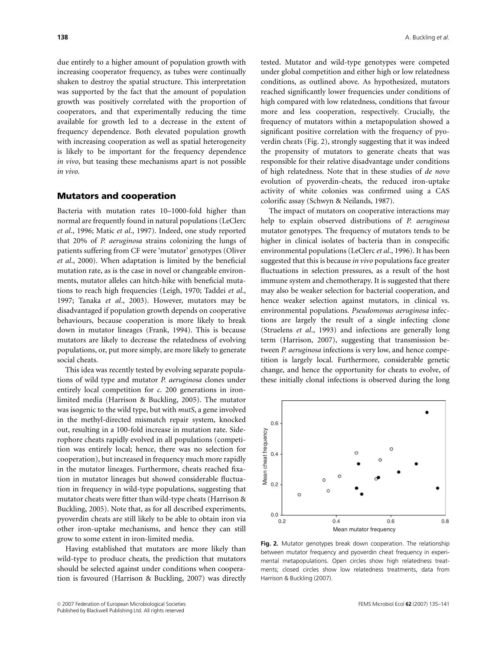due entirely to a higher amount of population growth with increasing cooperator frequency, as tubes were continually shaken to destroy the spatial structure. This interpretation was supported by the fact that the amount of population growth was positively correlated with the proportion of cooperators, and that experimentally reducing the time available for growth led to a decrease in the extent of frequency dependence. Both elevated population growth with increasing cooperation as well as spatial heterogeneity is likely to be important for the frequency dependence in vivo, but teasing these mechanisms apart is not possible in vivo.

## Mutators and cooperation

Bacteria with mutation rates 10–1000-fold higher than normal are frequently found in natural populations (LeClerc et al., 1996; Matic et al., 1997). Indeed, one study reported that 20% of P. aeruginosa strains colonizing the lungs of patients suffering from CF were 'mutator' genotypes (Oliver et al., 2000). When adaptation is limited by the beneficial mutation rate, as is the case in novel or changeable environments, mutator alleles can hitch-hike with beneficial mutations to reach high frequencies (Leigh, 1970; Taddei et al., 1997; Tanaka et al., 2003). However, mutators may be disadvantaged if population growth depends on cooperative behaviours, because cooperation is more likely to break down in mutator lineages (Frank, 1994). This is because mutators are likely to decrease the relatedness of evolving populations, or, put more simply, are more likely to generate social cheats.

This idea was recently tested by evolving separate populations of wild type and mutator P. aeruginosa clones under entirely local competition for c. 200 generations in ironlimited media (Harrison & Buckling, 2005). The mutator was isogenic to the wild type, but with mutS, a gene involved in the methyl-directed mismatch repair system, knocked out, resulting in a 100-fold increase in mutation rate. Siderophore cheats rapidly evolved in all populations (competition was entirely local; hence, there was no selection for cooperation), but increased in frequency much more rapidly in the mutator lineages. Furthermore, cheats reached fixation in mutator lineages but showed considerable fluctuation in frequency in wild-type populations, suggesting that mutator cheats were fitter than wild-type cheats (Harrison & Buckling, 2005). Note that, as for all described experiments, pyoverdin cheats are still likely to be able to obtain iron via other iron-uptake mechanisms, and hence they can still grow to some extent in iron-limited media.

Having established that mutators are more likely than wild-type to produce cheats, the prediction that mutators should be selected against under conditions when cooperation is favoured (Harrison & Buckling, 2007) was directly tested. Mutator and wild-type genotypes were competed under global competition and either high or low relatedness conditions, as outlined above. As hypothesized, mutators reached significantly lower frequencies under conditions of high compared with low relatedness, conditions that favour more and less cooperation, respectively. Crucially, the frequency of mutators within a metapopulation showed a significant positive correlation with the frequency of pyoverdin cheats (Fig. 2), strongly suggesting that it was indeed the propensity of mutators to generate cheats that was responsible for their relative disadvantage under conditions of high relatedness. Note that in these studies of de novo evolution of pyoverdin-cheats, the reduced iron-uptake activity of white colonies was confirmed using a CAS colorific assay (Schwyn & Neilands, 1987).

The impact of mutators on cooperative interactions may help to explain observed distributions of P. aeruginosa mutator genotypes. The frequency of mutators tends to be higher in clinical isolates of bacteria than in conspecific environmental populations (LeClerc et al., 1996). It has been suggested that this is because in vivo populations face greater fluctuations in selection pressures, as a result of the host immune system and chemotherapy. It is suggested that there may also be weaker selection for bacterial cooperation, and hence weaker selection against mutators, in clinical vs. environmental populations. Pseudomonas aeruginosa infections are largely the result of a single infecting clone (Struelens et al., 1993) and infections are generally long term (Harrison, 2007), suggesting that transmission between P. aeruginosa infections is very low, and hence competition is largely local. Furthermore, considerable genetic change, and hence the opportunity for cheats to evolve, of these initially clonal infections is observed during the long



Fig. 2. Mutator genotypes break down cooperation. The relationship between mutator frequency and pyoverdin cheat frequency in experimental metapopulations. Open circles show high relatedness treatments; closed circles show low relatedness treatments, data from Harrison & Buckling (2007).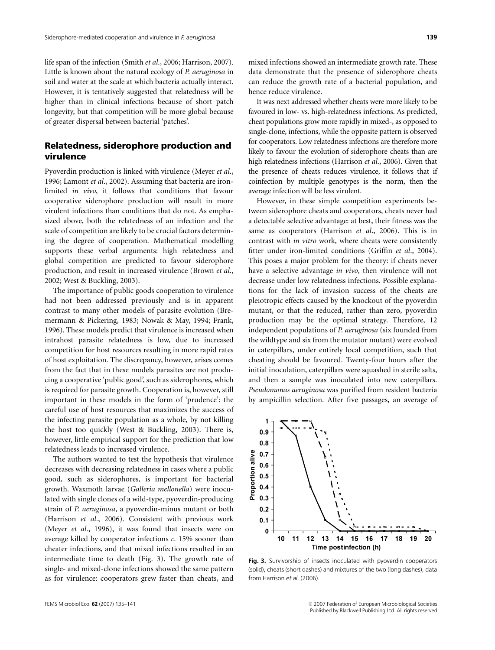life span of the infection (Smith et al., 2006; Harrison, 2007). Little is known about the natural ecology of P. aeruginosa in soil and water at the scale at which bacteria actually interact. However, it is tentatively suggested that relatedness will be higher than in clinical infections because of short patch longevity, but that competition will be more global because of greater dispersal between bacterial 'patches'.

# Relatedness, siderophore production and virulence

Pyoverdin production is linked with virulence (Meyer et al., 1996; Lamont et al., 2002). Assuming that bacteria are ironlimited in vivo, it follows that conditions that favour cooperative siderophore production will result in more virulent infections than conditions that do not. As emphasized above, both the relatedness of an infection and the scale of competition are likely to be crucial factors determining the degree of cooperation. Mathematical modelling supports these verbal arguments: high relatedness and global competition are predicted to favour siderophore production, and result in increased virulence (Brown et al., 2002; West & Buckling, 2003).

The importance of public goods cooperation to virulence had not been addressed previously and is in apparent contrast to many other models of parasite evolution (Bremermann & Pickering, 1983; Nowak & May, 1994; Frank, 1996). These models predict that virulence is increased when intrahost parasite relatedness is low, due to increased competition for host resources resulting in more rapid rates of host exploitation. The discrepancy, however, arises comes from the fact that in these models parasites are not producing a cooperative 'public good', such as siderophores, which is required for parasite growth. Cooperation is, however, still important in these models in the form of 'prudence': the careful use of host resources that maximizes the success of the infecting parasite population as a whole, by not killing the host too quickly (West & Buckling, 2003). There is, however, little empirical support for the prediction that low relatedness leads to increased virulence.

The authors wanted to test the hypothesis that virulence decreases with decreasing relatedness in cases where a public good, such as siderophores, is important for bacterial growth. Waxmoth larvae (Galleria mellonella) were inoculated with single clones of a wild-type, pyoverdin-producing strain of P. aeruginosa, a pyoverdin-minus mutant or both (Harrison et al., 2006). Consistent with previous work (Meyer et al., 1996), it was found that insects were on average killed by cooperator infections c. 15% sooner than cheater infections, and that mixed infections resulted in an intermediate time to death (Fig. 3). The growth rate of single- and mixed-clone infections showed the same pattern as for virulence: cooperators grew faster than cheats, and

mixed infections showed an intermediate growth rate. These data demonstrate that the presence of siderophore cheats can reduce the growth rate of a bacterial population, and hence reduce virulence.

It was next addressed whether cheats were more likely to be favoured in low- vs. high-relatedness infections. As predicted, cheat populations grow more rapidly in mixed-, as opposed to single-clone, infections, while the opposite pattern is observed for cooperators. Low relatedness infections are therefore more likely to favour the evolution of siderophore cheats than are high relatedness infections (Harrison et al., 2006). Given that the presence of cheats reduces virulence, it follows that if coinfection by multiple genotypes is the norm, then the average infection will be less virulent.

However, in these simple competition experiments between siderophore cheats and cooperators, cheats never had a detectable selective advantage: at best, their fitness was the same as cooperators (Harrison et al., 2006). This is in contrast with in vitro work, where cheats were consistently fitter under iron-limited conditions (Griffin et al., 2004). This poses a major problem for the theory: if cheats never have a selective advantage in vivo, then virulence will not decrease under low relatedness infections. Possible explanations for the lack of invasion success of the cheats are pleiotropic effects caused by the knockout of the pyoverdin mutant, or that the reduced, rather than zero, pyoverdin production may be the optimal strategy. Therefore, 12 independent populations of P. aeruginosa (six founded from the wildtype and six from the mutator mutant) were evolved in caterpillars, under entirely local competition, such that cheating should be favoured. Twenty-four hours after the initial inoculation, caterpillars were squashed in sterile salts, and then a sample was inoculated into new caterpillars. Pseudomonas aeruginosa was purified from resident bacteria by ampicillin selection. After five passages, an average of



Fig. 3. Survivorship of insects inoculated with pyoverdin cooperators (solid), cheats (short dashes) and mixtures of the two (long dashes), data from Harrison et al. (2006).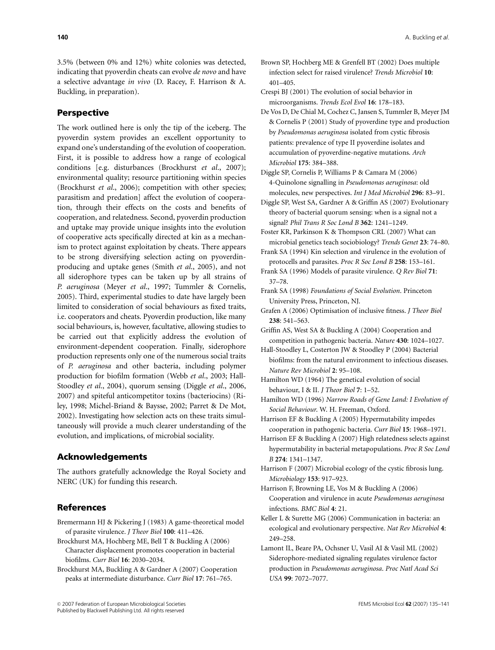3.5% (between 0% and 12%) white colonies was detected, indicating that pyoverdin cheats can evolve de novo and have a selective advantage in vivo (D. Racey, F. Harrison & A. Buckling, in preparation).

## **Perspective**

The work outlined here is only the tip of the iceberg. The pyoverdin system provides an excellent opportunity to expand one's understanding of the evolution of cooperation. First, it is possible to address how a range of ecological conditions [e.g. disturbances (Brockhurst et al., 2007); environmental quality; resource partitioning within species (Brockhurst et al., 2006); competition with other species; parasitism and predation] affect the evolution of cooperation, through their effects on the costs and benefits of cooperation, and relatedness. Second, pyoverdin production and uptake may provide unique insights into the evolution of cooperative acts specifically directed at kin as a mechanism to protect against exploitation by cheats. There appears to be strong diversifying selection acting on pyoverdinproducing and uptake genes (Smith et al., 2005), and not all siderophore types can be taken up by all strains of P. aeruginosa (Meyer et al., 1997; Tummler & Cornelis, 2005). Third, experimental studies to date have largely been limited to consideration of social behaviours as fixed traits, i.e. cooperators and cheats. Pyoverdin production, like many social behaviours, is, however, facultative, allowing studies to be carried out that explicitly address the evolution of environment-dependent cooperation. Finally, siderophore production represents only one of the numerous social traits of P. aeruginosa and other bacteria, including polymer production for biofilm formation (Webb et al., 2003; Hall-Stoodley et al., 2004), quorum sensing (Diggle et al., 2006, 2007) and spiteful anticompetitor toxins (bacteriocins) (Riley, 1998; Michel-Briand & Baysse, 2002; Parret & De Mot, 2002). Investigating how selection acts on these traits simultaneously will provide a much clearer understanding of the evolution, and implications, of microbial sociality.

# Acknowledgements

The authors gratefully acknowledge the Royal Society and NERC (UK) for funding this research.

# References

- Bremermann HJ & Pickering J (1983) A game-theoretical model of parasite virulence. J Theor Biol 100: 411–426.
- Brockhurst MA, Hochberg ME, Bell T & Buckling A (2006) Character displacement promotes cooperation in bacterial biofilms. Curr Biol 16: 2030–2034.
- Brockhurst MA, Buckling A & Gardner A (2007) Cooperation peaks at intermediate disturbance. Curr Biol 17: 761–765.
- Brown SP, Hochberg ME & Grenfell BT (2002) Does multiple infection select for raised virulence? Trends Microbiol 10: 401–405.
- Crespi BJ (2001) The evolution of social behavior in microorganisms. Trends Ecol Evol 16: 178–183.
- De Vos D, De Chial M, Cochez C, Jansen S, Tummler B, Meyer JM & Cornelis P (2001) Study of pyoverdine type and production by Pseudomonas aeruginosa isolated from cystic fibrosis patients: prevalence of type II pyoverdine isolates and accumulation of pyoverdine-negative mutations. Arch Microbiol 175: 384–388.
- Diggle SP, Cornelis P, Williams P & Camara M (2006) 4-Quinolone signalling in Pseudomonas aeruginosa: old molecules, new perspectives. Int J Med Microbiol 296: 83–91.
- Diggle SP, West SA, Gardner A & Griffin AS (2007) Evolutionary theory of bacterial quorum sensing: when is a signal not a signal? Phil Trans R Soc Lond B 362: 1241-1249.
- Foster KR, Parkinson K & Thompson CRL (2007) What can microbial genetics teach sociobiology? Trends Genet 23: 74–80.
- Frank SA (1994) Kin selection and virulence in the evolution of protocells and parasites. Proc R Soc Lond B 258: 153–161.
- Frank SA (1996) Models of parasite virulence. Q Rev Biol 71: 37–78.
- Frank SA (1998) Foundations of Social Evolution. Princeton University Press, Princeton, NJ.
- Grafen A (2006) Optimisation of inclusive fitness. J Theor Biol 238: 541–563.
- Griffin AS, West SA & Buckling A (2004) Cooperation and competition in pathogenic bacteria. Nature 430: 1024–1027.
- Hall-Stoodley L, Costerton JW & Stoodley P (2004) Bacterial biofilms: from the natural environment to infectious diseases. Nature Rev Microbiol 2: 95–108.
- Hamilton WD (1964) The genetical evolution of social behaviour, I & II. J Theor Biol 7: 1–52.
- Hamilton WD (1996) Narrow Roads of Gene Land: I Evolution of Social Behaviour. W. H. Freeman, Oxford.
- Harrison EF & Buckling A (2005) Hypermutability impedes cooperation in pathogenic bacteria. Curr Biol 15: 1968–1971.
- Harrison EF & Buckling A (2007) High relatedness selects against hypermutability in bacterial metapopulations. Proc R Soc Lond B 274: 1341–1347.
- Harrison F (2007) Microbial ecology of the cystic fibrosis lung. Microbiology 153: 917–923.
- Harrison F, Browning LE, Vos M & Buckling A (2006) Cooperation and virulence in acute Pseudomonas aeruginosa infections. BMC Biol 4: 21.
- Keller L & Surette MG (2006) Communication in bacteria: an ecological and evolutionary perspective. Nat Rev Microbiol 4: 249–258.
- Lamont IL, Beare PA, Ochsner U, Vasil AI & Vasil ML (2002) Siderophore-mediated signaling regulates virulence factor production in Pseudomonas aeruginosa. Proc Natl Acad Sci USA 99: 7072–7077.